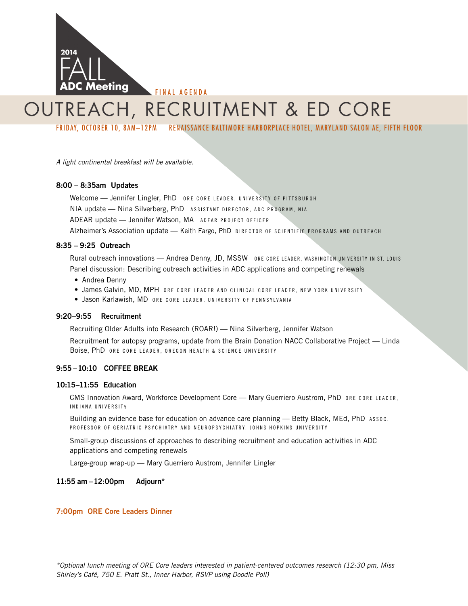

# outreach, recruitment & ed core

FRIDAY, OCTOBER 10, 8AM–12PM RENAISSANCE BALTIMORE HARBORPLACE HOTEL, MARYLAND SALON AE, FIFTH FLOOR

*A light continental breakfast will be available.* 

#### 8:00 – 8:35am Updates

Welcome - Jennifer Lingler, PhD ORE CORE LEADER, UNIVERSITY OF PITTSBURGH NIA update - Nina Silverberg, PhD ASSISTANT DIRECTOR, ADC PROGRAM, NIA ADEAR update - Jennifer Watson, MA ADEAR PROJECT OFFICER Alzheimer's Association update - Keith Fargo, PhD DIRECTOR OF SCIENTIFIC PROGRAMS AND OUTREACH

#### 8:35 – 9:25 Outreach

Rural outreach innovations — Andrea Denny, JD, MSSW ORE CORE LEADER, WASHINGTON UNIVERSITY IN ST. LOUIS Panel discussion: Describing outreach activities in ADC applications and competing renewals

- Andrea Denny
- · James Galvin, MD, MPH ORE CORE LEADER AND CLINICAL CORE LEADER, NEW YORK UNIVERSITY
- · Jason Karlawish, MD ORE CORE LEADER, UNIVERSITY OF PENNSYLVANIA

#### 9:20–9:55 Recruitment

Recruiting Older Adults into Research (ROAR!) — Nina Silverberg, Jennifer Watson

Recruitment for autopsy programs, update from the Brain Donation NACC Collaborative Project — Linda Boise, PhD ORE CORE LEADER, OREGON HEALTH & SCIENCE UNIVERSITY

#### 9:55 –10:10 COFFEE BREAK

#### 10:15–11:55 Education

CMS Innovation Award, Workforce Development Core - Mary Guerriero Austrom, PhD ORE CORE LEADER. I ndiana U niversit y

Building an evidence base for education on advance care planning — Betty Black, MEd, PhD Assoc. PROFESSOR OF GERIATRIC PSYCHIATRY AND NEUROPSYCHIATRY, JOHNS HOPKINS UNIVERSITY

Small-group discussions of approaches to describing recruitment and education activities in ADC applications and competing renewals

Large-group wrap-up — Mary Guerriero Austrom, Jennifer Lingler

#### 11:55 am –12:00pm Adjourn\*

#### 7:00pm ORE Core Leaders Dinner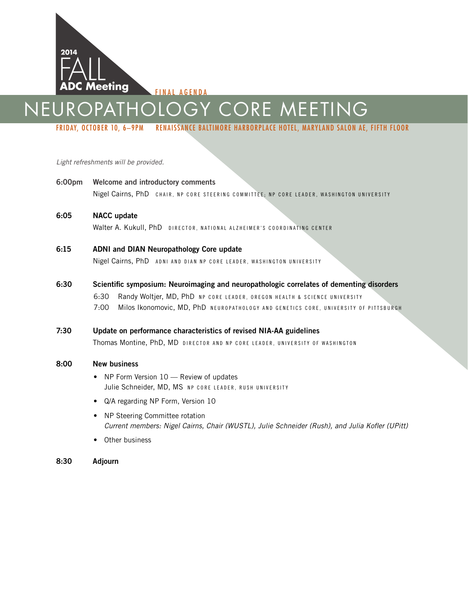

FINAL AGENDA

# Neuropathology core meeting

FRIDAY, OCTOBER 10, 6–9PM RENAISSANCE BALTIMORE HARBORPLACE HOTEL, MARYLAND SALON AE, FIFTH FLOOR

#### *Light refreshments will be provided.*

- 6:00pm Welcome and introductory comments Nigel Cairns, PhD CHAIR, NP CORE STEERING COMMITTEE; NP CORE LEADER, WASHINGTON UNIVERSITY
- 6:05 NACC update Walter A. Kukull, PhD DIRECTOR, NATIONAL ALZHEIMER'S COORDINATING CENTER
- 6:15 ADNI and DIAN Neuropathology Core update Nigel Cairns, PhD ADNI AND DIAN NP CORE LEADER, WASHINGTON UNIVERSITY

#### 6:30 Scientific symposium: Neuroimaging and neuropathologic correlates of dementing disorders

6:30 Randy Woltjer, MD, PhD NP CORE LEADER, OREGON HEALTH & SCIENCE UNIVERSITY 7:00 Milos Ikonomovic, MD, PhD NEUROPATHOLOGY AND GENETICS CORE, UNIVERSITY OF PITTSBURGH

#### 7:30 Update on performance characteristics of revised NIA-AA guidelines

Thomas Montine, PhD, MD DIRECTOR AND NP CORE LEADER, UNIVERSITY OF WASHINGTON

#### 8:00 New business

- NP Form Version 10 Review of updates Julie Schneider, MD, MS NP CORE LEADER, RUSH UNIVERSITY
- Q/A regarding NP Form, Version 10
- NP Steering Committee rotation *Current members: Nigel Cairns, Chair (WUSTL), Julie Schneider (Rush), and Julia Kofler (UPitt)*
- Other business
- 8:30 Adjourn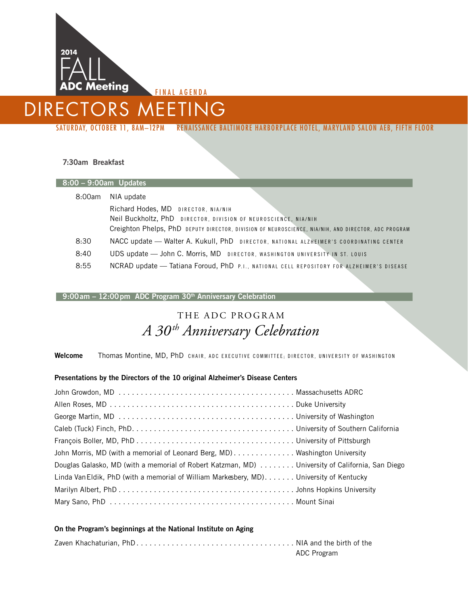

NAL AGENDA

### directors meeting

SATURDAY, OCTOBER 11, 8AM–12PM RENAISSANCE BALTIMORE HARBORPLACE HOTEL, MARYLAND SALON AEB, FIFTH FLOOR

#### 7:30am Breakfast

I.

| 8:00 - 9:00am Updates |                                                                                                     |  |  |  |  |  |  |  |  |
|-----------------------|-----------------------------------------------------------------------------------------------------|--|--|--|--|--|--|--|--|
| 8:00am                | NIA update                                                                                          |  |  |  |  |  |  |  |  |
|                       | Richard Hodes, MD DIRECTOR, NIA/NIH                                                                 |  |  |  |  |  |  |  |  |
|                       | Neil Buckholtz, PhD DIRECTOR, DIVISION OF NEUROSCIENCE, NIA/NIH                                     |  |  |  |  |  |  |  |  |
|                       | Creighton Phelps, PhD DEPUTY DIRECTOR, DIVISION OF NEUROSCIENCE, NIA/NIH, AND DIRECTOR, ADC PROGRAM |  |  |  |  |  |  |  |  |
| 8:30                  | NACC update - Walter A. Kukull, PhD DIRECTOR, NATIONAL ALZHEIMER'S COORDINATING CENTER              |  |  |  |  |  |  |  |  |
| 8:40                  | UDS update - John C. Morris, MD DIRECTOR, WASHINGTON UNIVERSITY IN ST. LOUIS                        |  |  |  |  |  |  |  |  |
| 8:55                  | NCRAD update - Tatiana Foroud, PhD P.I., NATIONAL CELL REPOSITORY FOR ALZHEIMER'S DISEASE           |  |  |  |  |  |  |  |  |

#### 9:00am - 12:00pm ADC Program 30<sup>th</sup> Anniversary Celebration

### THE ADC PROGRAM *A 30th Anniversary Celebration*

Welcome Thomas Montine, MD, PhD CHAIR, ADC EXECUTIVE COMMITTEE; DIRECTOR, UNIVERSITY OF WASHINGTON

#### Presentations by the Directors of the 10 original Alzheimer's Disease Centers

| John Morris, MD (with a memorial of Leonard Berg, MD) Washington University                     |  |
|-------------------------------------------------------------------------------------------------|--|
| Douglas Galasko, MD (with a memorial of Robert Katzman, MD) University of California, San Diego |  |
| Linda Van Eldik, PhD (with a memorial of William Markesbery, MD) University of Kentucky         |  |
|                                                                                                 |  |
|                                                                                                 |  |

#### On the Program's beginnings at the National Institute on Aging

|  |  |  |  |  |  |  |  |  | ADC Program |  |  |  |
|--|--|--|--|--|--|--|--|--|-------------|--|--|--|